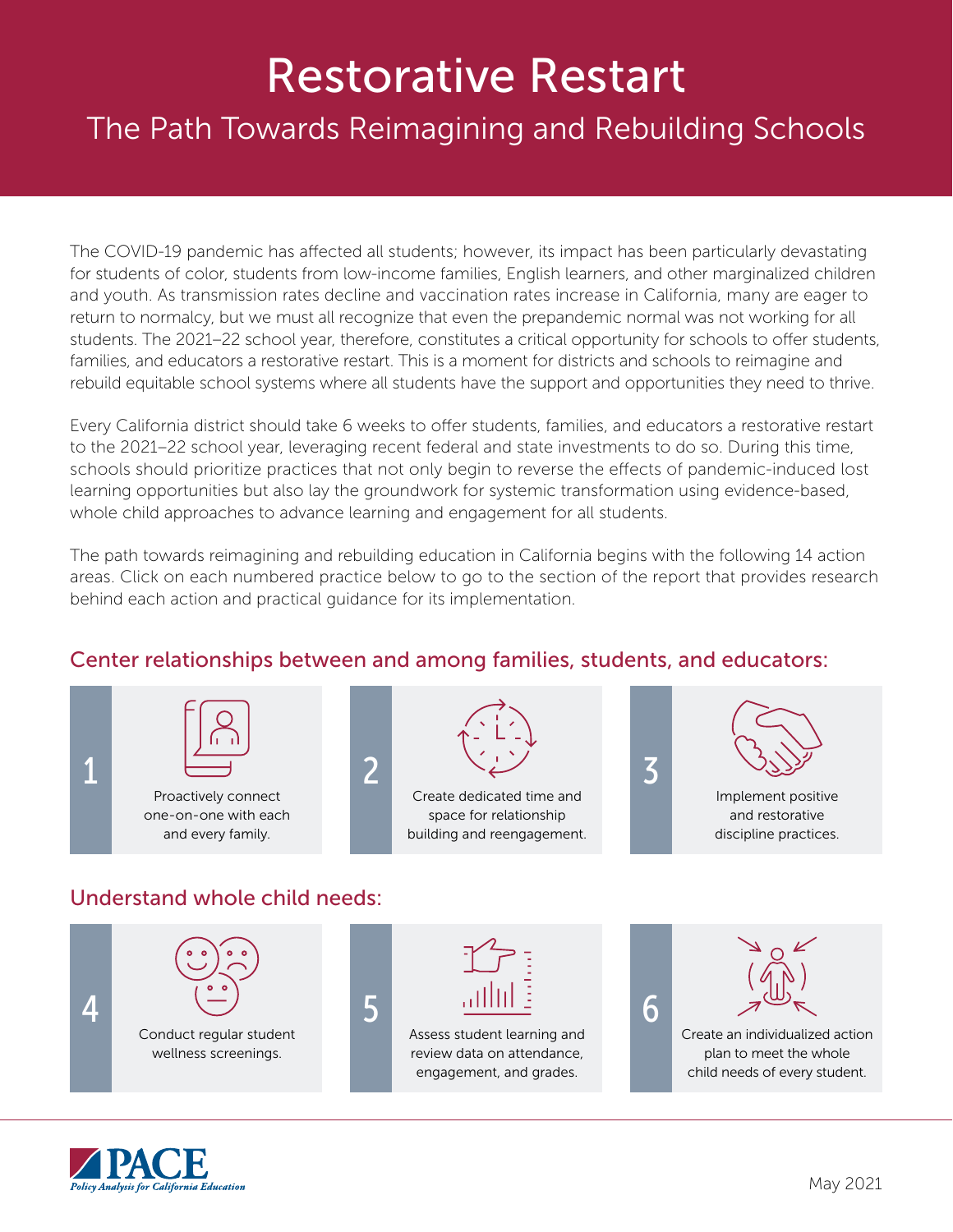# Restorative Restart

## The Path Towards Reimagining and Rebuilding Schools

The COVID-19 pandemic has affected all students; however, its impact has been particularly devastating for students of color, students from low-income families, English learners, and other marginalized children and youth. As transmission rates decline and vaccination rates increase in California, many are eager to return to normalcy, but we must all recognize that even the prepandemic normal was not working for all students. The 2021–22 school year, therefore, constitutes a critical opportunity for schools to offer students, families, and educators a restorative restart. This is a moment for districts and schools to reimagine and rebuild equitable school systems where all students have the support and opportunities they need to thrive.

Every California district should take 6 weeks to offer students, families, and educators a restorative restart to the 2021–22 school year, leveraging recent federal and state investments to do so. During this time, schools should prioritize practices that not only begin to reverse the effects of pandemic-induced lost learning opportunities but also lay the groundwork for systemic transformation using evidence-based, whole child approaches to advance learning and engagement for all students.

The path towards reimagining and rebuilding education in California begins with the following 14 action areas. Click on each numbered practice below to go to the section of the report that provides research behind each action and practical guidance for its implementation.

#### Center relationships between and among families, students, and educators: Understand whole child needs: 1 Proactively connect [one-on-one with each](https://edpolicyinca.org/sites/default/files/2021-05/r_myung_may21.pdf#page=15)  and every family. 2 Create dedicated time and space for relationship [building and reengagement.](https://edpolicyinca.org/sites/default/files/2021-05/r_myung_may21.pdf#page=17) 4 [Conduct regular student](https://edpolicyinca.org/sites/default/files/2021-05/r_myung_may21.pdf#page=28)  wellness screenings. 5 [Assess student learning and](https://edpolicyinca.org/sites/default/files/2021-05/r_myung_may21.pdf#page=30)  review data on attendance, engagement, and grades. 6 [Create an individualized action](https://edpolicyinca.org/sites/default/files/2021-05/r_myung_may21.pdf#page=36)  plan to meet the whole child needs of every student. 3 Implement positive and restorative [discipline practices.](https://edpolicyinca.org/sites/default/files/2021-05/r_myung_may21.pdf#page=23)